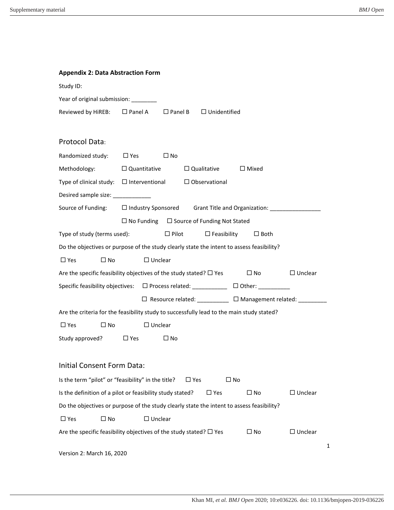| <b>Appendix 2: Data Abstraction Form</b>                                                                  |                     |                   |                                    |                                                                                  |                |   |  |  |  |
|-----------------------------------------------------------------------------------------------------------|---------------------|-------------------|------------------------------------|----------------------------------------------------------------------------------|----------------|---|--|--|--|
| Study ID:                                                                                                 |                     |                   |                                    |                                                                                  |                |   |  |  |  |
| Year of original submission: ________                                                                     |                     |                   |                                    |                                                                                  |                |   |  |  |  |
| Reviewed by HiREB:                                                                                        | $\square$ Panel A   |                   | $\Box$ Panel B $\Box$ Unidentified |                                                                                  |                |   |  |  |  |
|                                                                                                           |                     |                   |                                    |                                                                                  |                |   |  |  |  |
| Protocol Data:                                                                                            |                     |                   |                                    |                                                                                  |                |   |  |  |  |
| Randomized study:                                                                                         | $\Box$ Yes          | $\square$ No      |                                    |                                                                                  |                |   |  |  |  |
| Methodology:                                                                                              | $\Box$ Quantitative |                   | $\Box$ Qualitative                 | $\Box$ Mixed                                                                     |                |   |  |  |  |
| Type of clinical study: $\Box$ Interventional $\Box$ Observational                                        |                     |                   |                                    |                                                                                  |                |   |  |  |  |
| Desired sample size: _____________                                                                        |                     |                   |                                    |                                                                                  |                |   |  |  |  |
| Source of Funding:                                                                                        |                     |                   |                                    | □ Industry Sponsored Grant Title and Organization: _____________________________ |                |   |  |  |  |
| $\Box$ No Funding $\Box$ Source of Funding Not Stated                                                     |                     |                   |                                    |                                                                                  |                |   |  |  |  |
| $\Box$ Pilot<br>Type of study (terms used):<br>$\Box$ Feasibility<br>$\Box$ Both                          |                     |                   |                                    |                                                                                  |                |   |  |  |  |
| Do the objectives or purpose of the study clearly state the intent to assess feasibility?                 |                     |                   |                                    |                                                                                  |                |   |  |  |  |
| $\square$ No<br>$\square$ Yes                                                                             |                     | $\Box$ Unclear    |                                    |                                                                                  |                |   |  |  |  |
| Are the specific feasibility objectives of the study stated? $\Box$ Yes<br>$\square$ No<br>$\Box$ Unclear |                     |                   |                                    |                                                                                  |                |   |  |  |  |
| Specific feasibility objectives: □ Process related: __________ □ Other: ________                          |                     |                   |                                    |                                                                                  |                |   |  |  |  |
|                                                                                                           |                     |                   |                                    | □ Resource related: __________ □ Management related: ________                    |                |   |  |  |  |
| Are the criteria for the feasibility study to successfully lead to the main study stated?                 |                     |                   |                                    |                                                                                  |                |   |  |  |  |
| $\square$ No<br>$\Box$ Yes                                                                                |                     | $\Box$ Unclear    |                                    |                                                                                  |                |   |  |  |  |
| Study approved?                                                                                           | $\Box$ Yes          | $\square$ No      |                                    |                                                                                  |                |   |  |  |  |
|                                                                                                           |                     |                   |                                    |                                                                                  |                |   |  |  |  |
| <b>Initial Consent Form Data:</b>                                                                         |                     |                   |                                    |                                                                                  |                |   |  |  |  |
| Is the term "pilot" or "feasibility" in the title?<br>$\square$ No<br>$\Box$ Yes                          |                     |                   |                                    |                                                                                  |                |   |  |  |  |
| Is the definition of a pilot or feasibility study stated?                                                 |                     |                   | $\square$ Yes                      | $\square$ No                                                                     | $\Box$ Unclear |   |  |  |  |
| Do the objectives or purpose of the study clearly state the intent to assess feasibility?                 |                     |                   |                                    |                                                                                  |                |   |  |  |  |
| $\square$ No<br>$\Box$ Yes                                                                                |                     | $\square$ Unclear |                                    |                                                                                  |                |   |  |  |  |
| Are the specific feasibility objectives of the study stated? $\Box$ Yes<br>$\Box$ Unclear<br>$\square$ No |                     |                   |                                    |                                                                                  |                |   |  |  |  |
|                                                                                                           |                     |                   |                                    |                                                                                  |                |   |  |  |  |
| Version 2: March 16, 2020                                                                                 |                     |                   |                                    |                                                                                  |                | 1 |  |  |  |